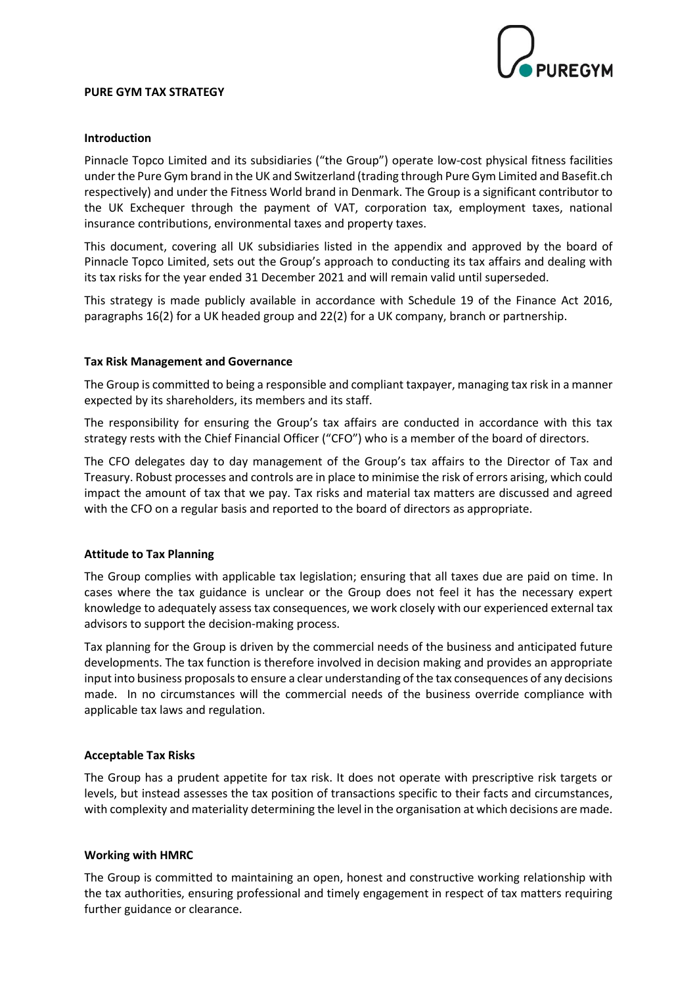

### **PURE GYM TAX STRATEGY**

# **Introduction**

Pinnacle Topco Limited and its subsidiaries ("the Group") operate low-cost physical fitness facilities under the Pure Gym brand in the UK and Switzerland (trading through Pure Gym Limited and Basefit.ch respectively) and under the Fitness World brand in Denmark. The Group is a significant contributor to the UK Exchequer through the payment of VAT, corporation tax, employment taxes, national insurance contributions, environmental taxes and property taxes.

This document, covering all UK subsidiaries listed in the appendix and approved by the board of Pinnacle Topco Limited, sets out the Group's approach to conducting its tax affairs and dealing with its tax risks for the year ended 31 December 2021 and will remain valid until superseded.

This strategy is made publicly available in accordance with Schedule 19 of the Finance Act 2016, paragraphs 16(2) for a UK headed group and 22(2) for a UK company, branch or partnership.

# **Tax Risk Management and Governance**

The Group is committed to being a responsible and compliant taxpayer, managing tax risk in a manner expected by its shareholders, its members and its staff.

The responsibility for ensuring the Group's tax affairs are conducted in accordance with this tax strategy rests with the Chief Financial Officer ("CFO") who is a member of the board of directors.

The CFO delegates day to day management of the Group's tax affairs to the Director of Tax and Treasury. Robust processes and controls are in place to minimise the risk of errors arising, which could impact the amount of tax that we pay. Tax risks and material tax matters are discussed and agreed with the CFO on a regular basis and reported to the board of directors as appropriate.

# **Attitude to Tax Planning**

The Group complies with applicable tax legislation; ensuring that all taxes due are paid on time. In cases where the tax guidance is unclear or the Group does not feel it has the necessary expert knowledge to adequately assess tax consequences, we work closely with our experienced external tax advisors to support the decision-making process.

Tax planning for the Group is driven by the commercial needs of the business and anticipated future developments. The tax function is therefore involved in decision making and provides an appropriate input into business proposals to ensure a clear understanding of the tax consequences of any decisions made. In no circumstances will the commercial needs of the business override compliance with applicable tax laws and regulation.

# **Acceptable Tax Risks**

The Group has a prudent appetite for tax risk. It does not operate with prescriptive risk targets or levels, but instead assesses the tax position of transactions specific to their facts and circumstances, with complexity and materiality determining the level in the organisation at which decisions are made.

# **Working with HMRC**

The Group is committed to maintaining an open, honest and constructive working relationship with the tax authorities, ensuring professional and timely engagement in respect of tax matters requiring further guidance or clearance.